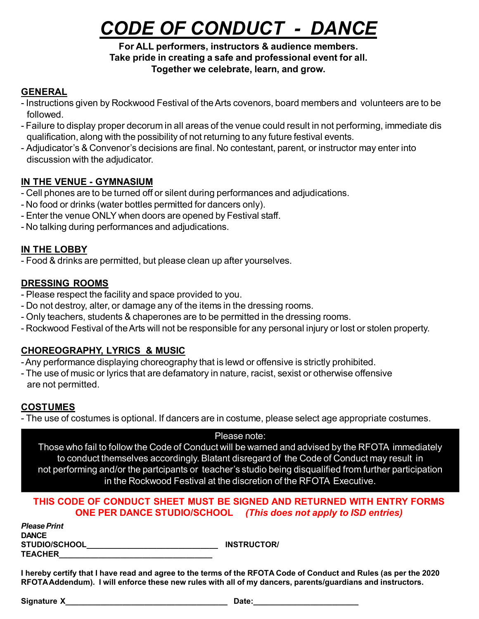# *CODE OF CONDUCT - DANCE*

#### **For ALL performers, instructors & audience members. Take pride in creating a safe and professional event for all. Together we celebrate, learn, and grow.**

# **GENERAL**

- Instructions given by Rockwood Festival of the Arts covenors, board members and volunteers are to be followed.
- Failure to display proper decorum in all areas of the venue could result in not performing, immediate dis qualification, along with the possibility of not returning to any future festival events.
- Adjudicator's & Convenor's decisions are final. No contestant, parent, or instructor may enter into discussion with the adjudicator.

# **IN THE VENUE - GYMNASIUM**

- Cell phones are to be turned off or silent during performances and adjudications.
- No food or drinks (water bottles permitted for dancers only).
- Enter the venue ONLY when doors are opened by Festival staff.
- No talking during performances and adjudications.

# **IN THE LOBBY**

- Food & drinks are permitted, but please clean up after yourselves.

# **DRESSING ROOMS**

- Please respect the facility and space provided to you.
- Do not destroy, alter, or damage any of the items in the dressing rooms.
- Only teachers, students & chaperones are to be permitted in the dressing rooms.
- Rockwood Festival of the Arts will not be responsible for any personal injury or lost or stolen property.

# **CHOREOGRAPHY, LYRICS & MUSIC**

- -Any performance displaying choreography that is lewd or offensive is strictly prohibited.
- The use of music or lyrics that are defamatory in nature, racist, sexist or otherwise offensive are not permitted.

# **COSTUMES**

- The use of costumes is optional. If dancers are in costume, please select age appropriate costumes.

#### Please note:

Those who fail to follow the Code of Conduct will be warned and advised by the RFOTA immediately to conduct themselves accordingly. Blatant disregard of the Code of Conduct may result in not performing and/or the partcipants or teacher's studio being disqualified from further participation in the Rockwood Festival at the discretion of the RFOTA Executive.

### **THIS CODE OF CONDUCT SHEET MUST BE SIGNED AND RETURNED WITH ENTRY FORMS ONE PER DANCE STUDIO/SCHOOL** *(This does not apply to ISD entries)*

| <b>Please Print</b>  |  |
|----------------------|--|
| <b>DANCE</b>         |  |
| <b>STUDIO/SCHOOL</b> |  |
| <b>TEACHER</b>       |  |

 $S$ **STRUCTOR/** 

I hereby certify that I have read and agree to the terms of the RFOTA Code of Conduct and Rules (as per the 2020 **RFOTAAddendum). I will enforce these new rules with all of my dancers, parents/guardians and instructors.**

**Signature X\_\_\_\_\_\_\_\_\_\_\_\_\_\_\_\_\_\_\_\_\_\_\_\_\_\_\_\_\_\_\_\_\_\_\_\_\_ Date:\_\_\_\_\_\_\_\_\_\_\_\_\_\_\_\_\_\_\_\_\_\_\_\_**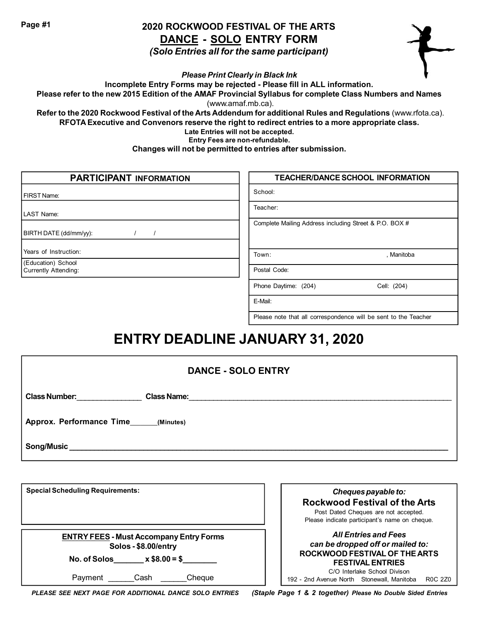**Page #1**

# **2020 ROCKWOOD FESTIVAL OF THE ARTS DANCE - SOLO ENTRY FORM**

*(Solo Entries all for the same participant)*



*Please Print Clearly in Black Ink*

**Incomplete Entry Forms may be rejected - Please fill in ALL information.**

Please refer to the new 2015 Edition of the AMAF Provincial Syllabus for complete Class Numbers and Names (www.amaf.mb.ca).

**Refer to the 2020 Rockwood Festival of the Arts Addendum for additional Rules and Regulations** (www.rfota.ca). **RFOTA Executive and Convenors reserve the right to redirect entries to a more appropriate class.**

**Late Entries will not be accepted.**

**Entry Fees are non-refundable.**

**Changes will not be permitted to entries after submission.**

| <b>PARTICIPANT INFORMATION</b>                    | <b>TEACHER/DANCE SCHOOL INFORMATION</b>                |
|---------------------------------------------------|--------------------------------------------------------|
| FIRST Name:                                       | School:                                                |
| LAST Name:                                        | Teacher:                                               |
| BIRTH DATE (dd/mm/yy):                            | Complete Mailing Address including Street & P.O. BOX # |
| Years of Instruction:                             | Town:<br>, Manitoba                                    |
| (Education) School<br><b>Currently Attending:</b> | Postal Code:                                           |
|                                                   | Phone Daytime: (204)<br>Cell: (204)                    |
|                                                   | E-Mail:                                                |

# Please note that all correspondence will be sent to the Teacher

# **ENTRY DEADLINE JANUARY 31, 2020**

| <b>DANCE - SOLO ENTRY</b>                                                                            |                                                                                                                                                      |
|------------------------------------------------------------------------------------------------------|------------------------------------------------------------------------------------------------------------------------------------------------------|
|                                                                                                      |                                                                                                                                                      |
| Approx. Performance Time (Minutes)                                                                   |                                                                                                                                                      |
|                                                                                                      |                                                                                                                                                      |
|                                                                                                      |                                                                                                                                                      |
| <b>Special Scheduling Requirements:</b>                                                              | Cheques payable to:<br><b>Rockwood Festival of the Arts</b><br>Post Dated Cheques are not accepted.<br>Please indicate participant's name on cheque. |
| <b>ENTRY FEES - Must Accompany Entry Forms</b><br>Solos - \$8.00/entry<br>No. of Solos $x $8.00 = $$ | <b>All Entries and Fees</b><br>can be dropped off or mailed to:<br>ROCKWOOD FESTIVAL OF THE ARTS<br><b>FESTIVAL ENTRIES</b>                          |

*PLEASE SEE NEXT PAGE FOR ADDITIONAL DANCE SOLO ENTRIES (Staple Page 1 & 2 together) Please No Double Sided Entries*

Payment Cash Cheque

192 - 2nd Avenue North Stonewall, Manitoba R0C 2Z0

C/O Interlake School Divison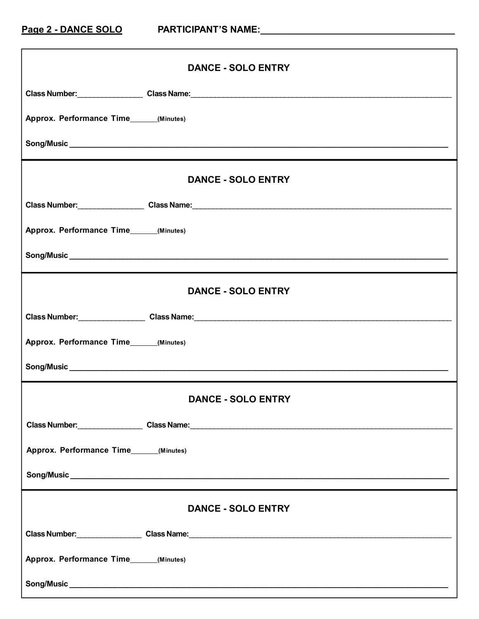| <b>DANCE - SOLO ENTRY</b>                                           |  |
|---------------------------------------------------------------------|--|
|                                                                     |  |
| Approx. Performance Time______(Minutes)                             |  |
|                                                                     |  |
| <b>DANCE - SOLO ENTRY</b>                                           |  |
| Class Number: Class Name: Class Name: Class Name: Class Number 2014 |  |
| Approx. Performance Time______(Minutes)                             |  |
|                                                                     |  |
| <b>DANCE - SOLO ENTRY</b>                                           |  |
|                                                                     |  |
| Approx. Performance Time______(Minutes)                             |  |
|                                                                     |  |
| <b>DANCE - SOLO ENTRY</b>                                           |  |
|                                                                     |  |
| Approx. Performance Time (Minutes)                                  |  |
|                                                                     |  |
| <b>DANCE - SOLO ENTRY</b>                                           |  |
| Class Number: Class Name: Class Name: Class Name:                   |  |
| Approx. Performance Time______(Minutes)                             |  |
|                                                                     |  |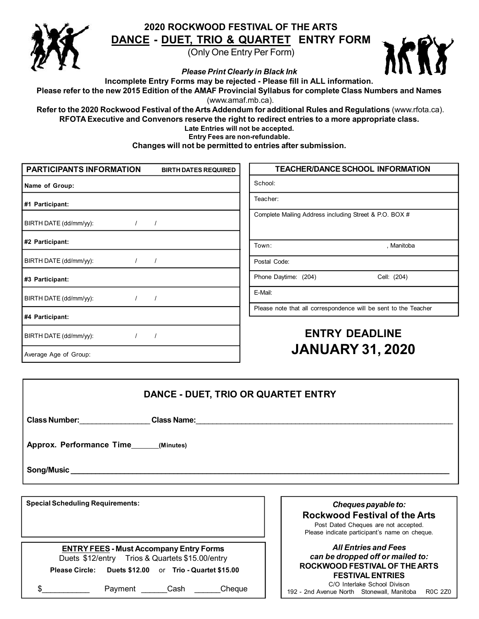

#### **2020 ROCKWOOD FESTIVAL OF THE ARTS DANCE - DUET, TRIO & QUARTET ENTRY FORM**

(Only One Entry Per Form)



*Please Print Clearly in Black Ink*

**Incomplete Entry Forms may be rejected - Please fill in ALL information.**

Please refer to the new 2015 Edition of the AMAF Provincial Syllabus for complete Class Numbers and Names

(www.amaf.mb.ca).

**Refer to the 2020 Rockwood Festival of the Arts Addendum for additional Rules and Regulations** (www.rfota.ca). **RFOTA Executive and Convenors reserve the right to redirect entries to a more appropriate class.**

**Late Entries will not be accepted.**

**Entry Fees are non-refundable.**

**Changes will not be permitted to entries after submission.**

| PARTICIPANTS INFORMATION<br><b>BIRTH DATES REQUIRED</b> | <b>TEACHER/DANCE SCHOOL INFORMATION</b>                         |
|---------------------------------------------------------|-----------------------------------------------------------------|
| Name of Group:                                          | School:                                                         |
| #1 Participant:                                         | Teacher:                                                        |
| BIRTH DATE (dd/mm/yy):                                  | Complete Mailing Address including Street & P.O. BOX #          |
| #2 Participant:                                         | Town:<br>. Manitoba                                             |
| BIRTH DATE (dd/mm/yy):                                  | Postal Code:                                                    |
| #3 Participant:                                         | Phone Daytime: (204)<br>Cell: (204)                             |
| BIRTH DATE (dd/mm/yy):                                  | E-Mail:                                                         |
| #4 Participant:                                         | Please note that all correspondence will be sent to the Teacher |
| BIRTH DATE (dd/mm/yy):                                  | <b>ENTRY DEADLINE</b>                                           |
| Average Age of Group:                                   | <b>JANUARY 31, 2020</b>                                         |

| DANCE - DUET, TRIO OR QUARTET ENTRY                                                                                                                         |                                                                                                                                                      |
|-------------------------------------------------------------------------------------------------------------------------------------------------------------|------------------------------------------------------------------------------------------------------------------------------------------------------|
| Class Number: Class Number:<br><b>Class Name:</b>                                                                                                           |                                                                                                                                                      |
| Approx. Performance Time (Minutes)                                                                                                                          |                                                                                                                                                      |
|                                                                                                                                                             |                                                                                                                                                      |
|                                                                                                                                                             |                                                                                                                                                      |
| <b>Special Scheduling Requirements:</b>                                                                                                                     | Cheques payable to:<br><b>Rockwood Festival of the Arts</b><br>Post Dated Cheques are not accepted.<br>Please indicate participant's name on cheque. |
| <b>ENTRY FEES - Must Accompany Entry Forms</b><br>Duets \$12/entry Trios & Quartets \$15.00/entry<br>Please Circle: Duets \$12.00 or Trio - Quartet \$15.00 | <b>All Entries and Fees</b><br>can be dropped off or mailed to:<br>ROCKWOOD FESTIVAL OF THE ARTS<br><b>FESTIVAL ENTRIES</b>                          |
| \$<br>Cash<br>Cheque<br>Payment                                                                                                                             | C/O Interlake School Divison<br>192 - 2nd Avenue North Stonewall Manitoba<br>R <sub>0</sub> C 270                                                    |

192 - 2nd Avenue North Stonewall, Manitoba R0C 2Z0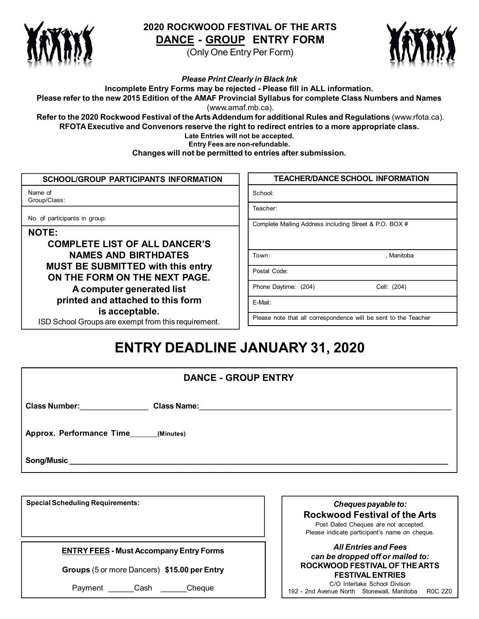

### **2020 ROCKWOOD FESTIVAL OF THE ARTS DANCE - GROUP ENTRY FORM**

(Only One Entry Per Form)



*Please Print Clearly in Black Ink* **Incomplete Entry Forms may be rejected - Please fill in ALL information.** Please refer to the new 2015 Edition of the AMAF Provincial Syllabus for complete Class Numbers and Names (www.amaf.mb.ca).

**Refer to the 2020 Rockwood Festival of the Arts Addendum for additional Rules and Regulations** (www.rfota.ca). **RFOTA Executive and Convenors reserve the right to redirect entries to a more appropriate class. Late Entries will not be accepted.**

**Entry Fees are non-refundable.**

**Changes will not be permitted to entries after submission.**

| <b>SCHOOL/GROUP PARTICIPANTS INFORMATION</b>                              | <b>TEACHER/DANCE SCHOOL INFORMATION</b>                         |
|---------------------------------------------------------------------------|-----------------------------------------------------------------|
| Name of<br>Group/Class:                                                   | School:                                                         |
| No. of participants in group:                                             | Teacher:                                                        |
| <b>NOTE:</b>                                                              | Complete Mailing Address including Street & P.O. BOX #          |
| <b>COMPLETE LIST OF ALL DANCER'S</b>                                      |                                                                 |
| <b>NAMES AND BIRTHDATES</b>                                               | Town:<br>. Manitoba                                             |
| <b>MUST BE SUBMITTED with this entry</b><br>ON THE FORM ON THE NEXT PAGE. | Postal Code:                                                    |
| A computer generated list                                                 | Phone Daytime: (204)<br>Cell: (204)                             |
| printed and attached to this form<br>is acceptable.                       | E-Mail:                                                         |
| ISD School Groups are exempt from this requirement.                       | Please note that all correspondence will be sent to the Teacher |

# **ENTRY DEADLINE JANUARY 31, 2020**

| <b>DANCE - GROUP ENTRY</b>                          |  |
|-----------------------------------------------------|--|
| <b>Class Number:</b><br>Class Name: The Class Name: |  |
| Approx. Performance Time______(Minutes)             |  |
| Song/Music                                          |  |

**Special Scheduling Requirements:**

**ENTRY FEES - Must Accompany Entry Forms**

**Groups** (5 or more Dancers) **\$15.00 per Entry**

Payment Cash Cheque

Cheques payable to: **Rockwood Festival of the Arts** Post Dated Cheques are not accepted. Please indicate participant's name on cheque.

#### *All Entries and Fees can be dropped off or mailed to:* **ROCKWOOD FESTIVAL OF THE ARTS FESTIVAL ENTRIES**

C/O Interlake School Divison 192 - 2nd Avenue North Stonewall, Manitoba R0C 2Z0